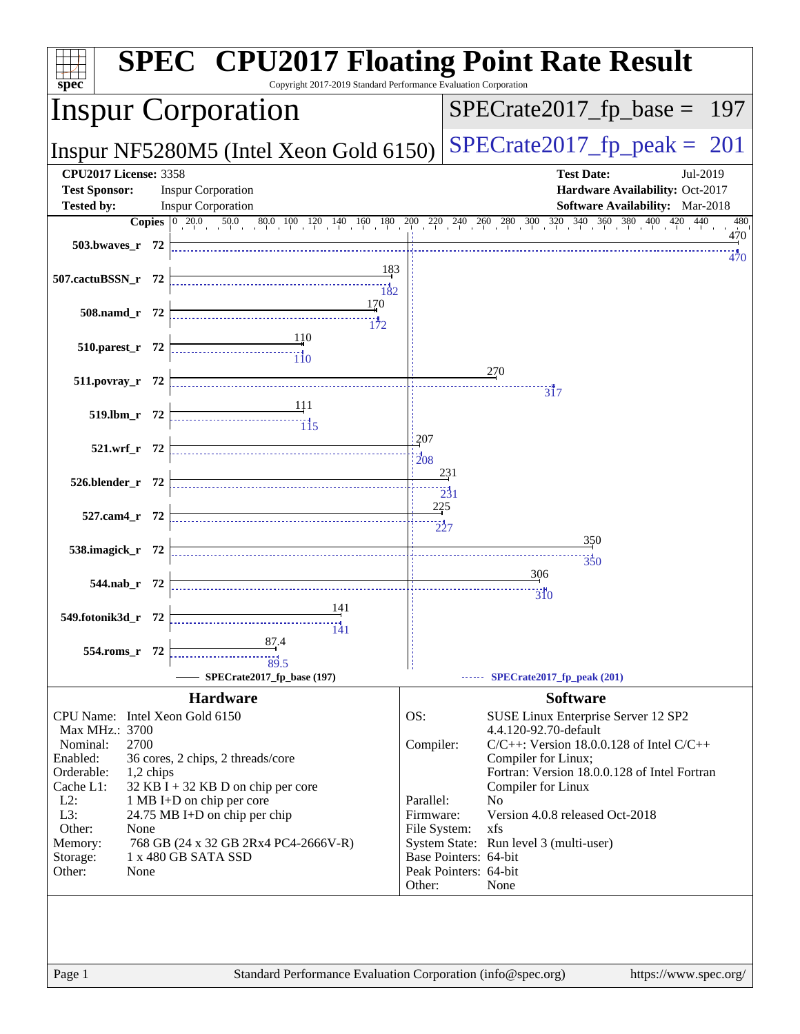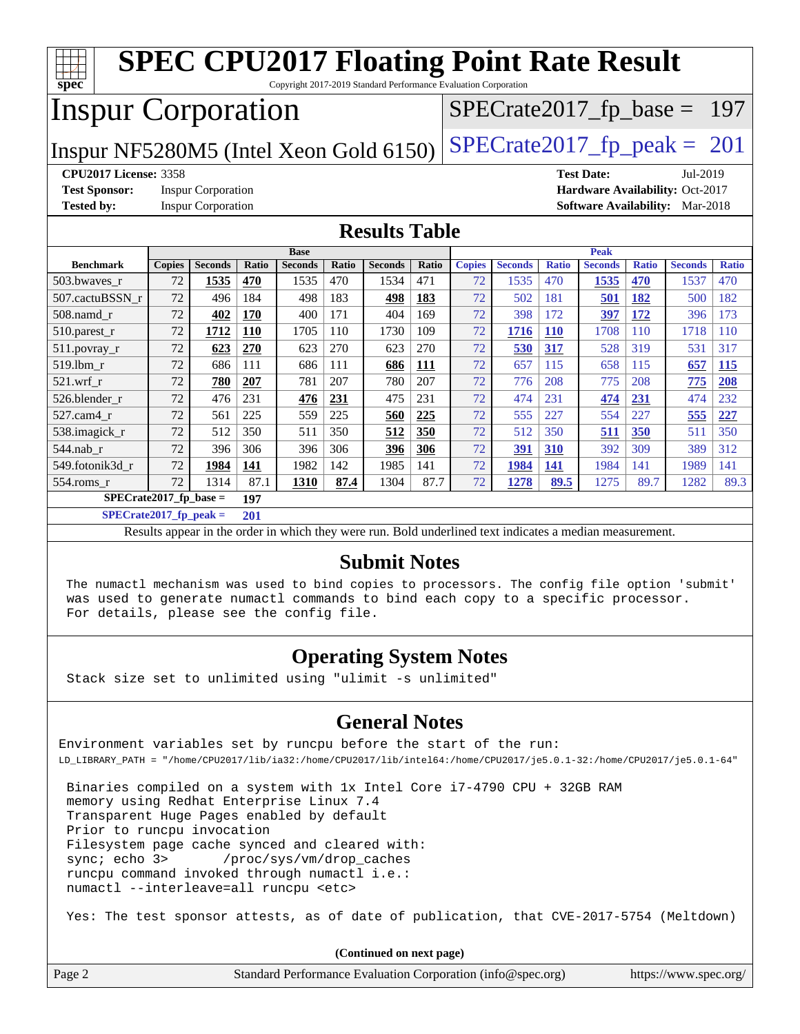| <b>SPEC CPU2017 Floating Point Rate Result</b><br>$spec^*$<br>Copyright 2017-2019 Standard Performance Evaluation Corporation |        |                           |       |                               |       |                |       |               |                |              |                               |              |                                        |              |
|-------------------------------------------------------------------------------------------------------------------------------|--------|---------------------------|-------|-------------------------------|-------|----------------|-------|---------------|----------------|--------------|-------------------------------|--------------|----------------------------------------|--------------|
| <b>Inspur Corporation</b><br>$SPECrate2017_fp\_base = 197$                                                                    |        |                           |       |                               |       |                |       |               |                |              |                               |              |                                        |              |
| $SPECrate2017_fp\_peak = 201$<br>Inspur NF5280M5 (Intel Xeon Gold 6150)                                                       |        |                           |       |                               |       |                |       |               |                |              |                               |              |                                        |              |
| <b>CPU2017 License: 3358</b><br><b>Test Date:</b><br>Jul-2019                                                                 |        |                           |       |                               |       |                |       |               |                |              |                               |              |                                        |              |
| <b>Test Sponsor:</b><br>Hardware Availability: Oct-2017<br><b>Inspur Corporation</b>                                          |        |                           |       |                               |       |                |       |               |                |              |                               |              |                                        |              |
| <b>Tested by:</b>                                                                                                             |        | <b>Inspur Corporation</b> |       |                               |       |                |       |               |                |              |                               |              | <b>Software Availability:</b> Mar-2018 |              |
| <b>Results Table</b>                                                                                                          |        |                           |       |                               |       |                |       |               |                |              |                               |              |                                        |              |
|                                                                                                                               |        |                           |       |                               |       |                |       |               |                |              |                               |              |                                        |              |
| <b>Benchmark</b>                                                                                                              | Copies | <b>Seconds</b>            | Ratio | <b>Base</b><br><b>Seconds</b> | Ratio | <b>Seconds</b> | Ratio | <b>Copies</b> | <b>Seconds</b> | <b>Ratio</b> | <b>Peak</b><br><b>Seconds</b> | <b>Ratio</b> | <b>Seconds</b>                         | <b>Ratio</b> |
| 503.bwayes r                                                                                                                  | 72     | 1535                      | 470   | 1535                          | 470   | 1534           | 471   | 72            | 1535           | 470          | 1535                          | 470          | 1537                                   | 470          |
| 507.cactuBSSN_r                                                                                                               | 72     | 496                       | 184   | 498                           | 183   | 498            | 183   | 72            | 502            | 181          | 501                           | 182          | 500                                    | 182          |
| 508.namd r                                                                                                                    | 72     | 402                       | 170   | 400                           | 171   | 404            | 169   | 72            | 398            | 172          | 397                           | 172          | 396                                    | 173          |
| $510.parest_r$                                                                                                                | 72     | 1712                      | 110   | 1705                          | 110   | 1730           | 109   | 72            | 1716           | 110          | 1708                          | 110          | 1718                                   | 110          |
| 511.povray_r                                                                                                                  | 72     | 623                       | 270   | 623                           | 270   | 623            | 270   | 72            | 530            | 317          | 528                           | 319          | 531                                    | 317          |
| 519.lbm r                                                                                                                     | 72     | 686                       | 111   | 686                           | 111   | 686            | 111   | 72            | 657            | 115          | 658                           | 115          | 657                                    | 115          |
| 521.wrf r                                                                                                                     | 72     | 780                       | 207   | 781                           | 207   | 780            | 207   | 72            | 776            | 208          | 775                           | 208          | 775                                    | 208          |
| 526.blender r                                                                                                                 | 72     | 476                       | 231   | 476                           | 231   | 475            | 231   | 72            | 474            | 231          | 474                           | 231          | 474                                    | 232          |
| 527.cam4 r                                                                                                                    | 72     | 561                       | 225   | 559                           | 225   | 560            | 225   | 72            | 555            | 227          | 554                           | 227          | 555                                    | 227          |
| 538.imagick_r                                                                                                                 | 72     | 512                       | 350   | 511                           | 350   | 512            | 350   | 72            | 512            | 350          | 511                           | 350          | 511                                    | 350          |
| 544.nab r                                                                                                                     | 72     | 396                       | 306   | 396                           | 306   | 396            | 306   | 72            | 391            | 310          | 392                           | 309          | 389                                    | 312          |
| 549.fotonik3d r                                                                                                               | 72     | 1984                      | 141   | 1982                          | 142   | 1985           | 141   | 72            | 1984           | 141          | 1984                          | 141          | 1989                                   | 141          |
| 554.roms_r                                                                                                                    | 72     | 1314                      | 87.1  | 1310                          | 87.4  | 1304           | 87.7  | 72            | 1278           | 89.5         | 1275                          | 89.7         | 1282                                   | 89.3         |
| SPECrate2017 fp base $=$<br>197                                                                                               |        |                           |       |                               |       |                |       |               |                |              |                               |              |                                        |              |
| $SPECrate2017$ fp peak =                                                                                                      |        |                           | 201   |                               |       |                |       |               |                |              |                               |              |                                        |              |

Results appear in the [order in which they were run.](http://www.spec.org/auto/cpu2017/Docs/result-fields.html#RunOrder) Bold underlined text [indicates a median measurement.](http://www.spec.org/auto/cpu2017/Docs/result-fields.html#Median)

#### **[Submit Notes](http://www.spec.org/auto/cpu2017/Docs/result-fields.html#SubmitNotes)**

 The numactl mechanism was used to bind copies to processors. The config file option 'submit' was used to generate numactl commands to bind each copy to a specific processor. For details, please see the config file.

## **[Operating System Notes](http://www.spec.org/auto/cpu2017/Docs/result-fields.html#OperatingSystemNotes)**

Stack size set to unlimited using "ulimit -s unlimited"

## **[General Notes](http://www.spec.org/auto/cpu2017/Docs/result-fields.html#GeneralNotes)**

Environment variables set by runcpu before the start of the run: LD\_LIBRARY\_PATH = "/home/CPU2017/lib/ia32:/home/CPU2017/lib/intel64:/home/CPU2017/je5.0.1-32:/home/CPU2017/je5.0.1-64"

 Binaries compiled on a system with 1x Intel Core i7-4790 CPU + 32GB RAM memory using Redhat Enterprise Linux 7.4 Transparent Huge Pages enabled by default Prior to runcpu invocation Filesystem page cache synced and cleared with: sync; echo 3> /proc/sys/vm/drop\_caches runcpu command invoked through numactl i.e.: numactl --interleave=all runcpu <etc>

Yes: The test sponsor attests, as of date of publication, that CVE-2017-5754 (Meltdown)

**(Continued on next page)**

| Page 2 | Standard Performance Evaluation Corporation (info@spec.org) | https://www.spec.org/ |
|--------|-------------------------------------------------------------|-----------------------|
|--------|-------------------------------------------------------------|-----------------------|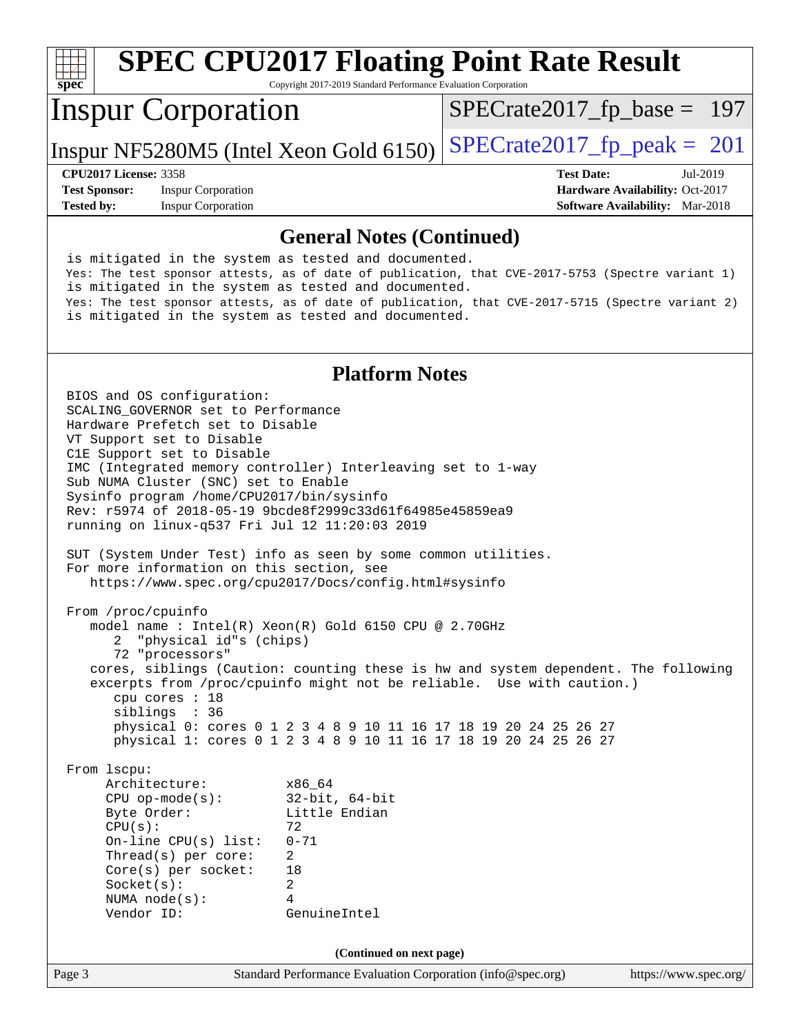#### **[spec](http://www.spec.org/) [SPEC CPU2017 Floating Point Rate Result](http://www.spec.org/auto/cpu2017/Docs/result-fields.html#SPECCPU2017FloatingPointRateResult)** Copyright 2017-2019 Standard Performance Evaluation Corporation Inspur Corporation Inspur NF5280M5 (Intel Xeon Gold 6150)  $\text{SPECrate2017\_fp\_peak} = 201$ [SPECrate2017\\_fp\\_base =](http://www.spec.org/auto/cpu2017/Docs/result-fields.html#SPECrate2017fpbase) 197

**[Test Sponsor:](http://www.spec.org/auto/cpu2017/Docs/result-fields.html#TestSponsor)** Inspur Corporation **[Hardware Availability:](http://www.spec.org/auto/cpu2017/Docs/result-fields.html#HardwareAvailability)** Oct-2017 **[Tested by:](http://www.spec.org/auto/cpu2017/Docs/result-fields.html#Testedby)** Inspur Corporation **[Software Availability:](http://www.spec.org/auto/cpu2017/Docs/result-fields.html#SoftwareAvailability)** Mar-2018

**[CPU2017 License:](http://www.spec.org/auto/cpu2017/Docs/result-fields.html#CPU2017License)** 3358 **[Test Date:](http://www.spec.org/auto/cpu2017/Docs/result-fields.html#TestDate)** Jul-2019

#### **[General Notes \(Continued\)](http://www.spec.org/auto/cpu2017/Docs/result-fields.html#GeneralNotes)**

 is mitigated in the system as tested and documented. Yes: The test sponsor attests, as of date of publication, that CVE-2017-5753 (Spectre variant 1) is mitigated in the system as tested and documented. Yes: The test sponsor attests, as of date of publication, that CVE-2017-5715 (Spectre variant 2) is mitigated in the system as tested and documented.

### **[Platform Notes](http://www.spec.org/auto/cpu2017/Docs/result-fields.html#PlatformNotes)**

Page 3 Standard Performance Evaluation Corporation [\(info@spec.org\)](mailto:info@spec.org) <https://www.spec.org/> BIOS and OS configuration: SCALING\_GOVERNOR set to Performance Hardware Prefetch set to Disable VT Support set to Disable C1E Support set to Disable IMC (Integrated memory controller) Interleaving set to 1-way Sub NUMA Cluster (SNC) set to Enable Sysinfo program /home/CPU2017/bin/sysinfo Rev: r5974 of 2018-05-19 9bcde8f2999c33d61f64985e45859ea9 running on linux-q537 Fri Jul 12 11:20:03 2019 SUT (System Under Test) info as seen by some common utilities. For more information on this section, see <https://www.spec.org/cpu2017/Docs/config.html#sysinfo> From /proc/cpuinfo model name : Intel(R) Xeon(R) Gold 6150 CPU @ 2.70GHz 2 "physical id"s (chips) 72 "processors" cores, siblings (Caution: counting these is hw and system dependent. The following excerpts from /proc/cpuinfo might not be reliable. Use with caution.) cpu cores : 18 siblings : 36 physical 0: cores 0 1 2 3 4 8 9 10 11 16 17 18 19 20 24 25 26 27 physical 1: cores 0 1 2 3 4 8 9 10 11 16 17 18 19 20 24 25 26 27 From lscpu: Architecture: x86\_64 CPU op-mode(s): 32-bit, 64-bit Byte Order: Little Endian  $CPU(s):$  72 On-line CPU(s) list: 0-71 Thread(s) per core: 2 Core(s) per socket: 18 Socket(s): 2 NUMA node(s): 4 Vendor ID: GenuineIntel **(Continued on next page)**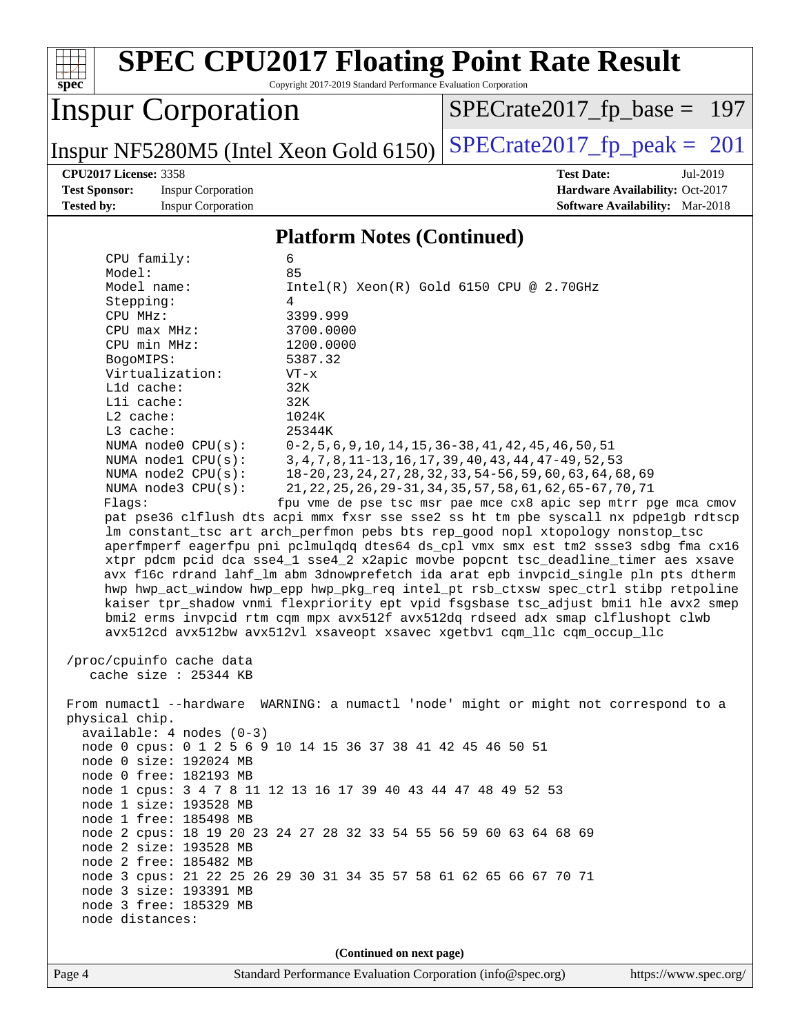| <b>SPEC CPU2017 Floating Point Rate Result</b><br>Copyright 2017-2019 Standard Performance Evaluation Corporation<br>spec <sup>®</sup>                               |                                                                           |  |  |  |  |
|----------------------------------------------------------------------------------------------------------------------------------------------------------------------|---------------------------------------------------------------------------|--|--|--|--|
| <b>Inspur Corporation</b>                                                                                                                                            | $SPECrate2017_fp\_base = 197$                                             |  |  |  |  |
| Inspur NF5280M5 (Intel Xeon Gold 6150)                                                                                                                               | $SPECrate2017_fp\_peak = 201$                                             |  |  |  |  |
| <b>CPU2017 License: 3358</b>                                                                                                                                         | <b>Test Date:</b><br>Jul-2019                                             |  |  |  |  |
| <b>Test Sponsor:</b><br><b>Inspur Corporation</b><br><b>Tested by:</b><br><b>Inspur Corporation</b>                                                                  | Hardware Availability: Oct-2017<br><b>Software Availability:</b> Mar-2018 |  |  |  |  |
|                                                                                                                                                                      |                                                                           |  |  |  |  |
| <b>Platform Notes (Continued)</b>                                                                                                                                    |                                                                           |  |  |  |  |
| CPU family:<br>6<br>85<br>Model:                                                                                                                                     |                                                                           |  |  |  |  |
| Model name:                                                                                                                                                          | $Intel(R) Xeon(R) Gold 6150 CPU @ 2.70GHz$                                |  |  |  |  |
| Stepping:<br>4                                                                                                                                                       |                                                                           |  |  |  |  |
| 3399.999<br>CPU MHz:                                                                                                                                                 |                                                                           |  |  |  |  |
| 3700.0000<br>CPU max MHz:                                                                                                                                            |                                                                           |  |  |  |  |
| CPU min MHz:<br>1200.0000<br>BogoMIPS:<br>5387.32                                                                                                                    |                                                                           |  |  |  |  |
| Virtualization:<br>$VT - x$                                                                                                                                          |                                                                           |  |  |  |  |
| L1d cache:<br>32K                                                                                                                                                    |                                                                           |  |  |  |  |
| 32K<br>Lli cache:                                                                                                                                                    |                                                                           |  |  |  |  |
| 1024K<br>$L2$ cache:                                                                                                                                                 |                                                                           |  |  |  |  |
| L3 cache:<br>25344K<br>NUMA node0 CPU(s):                                                                                                                            | $0-2, 5, 6, 9, 10, 14, 15, 36-38, 41, 42, 45, 46, 50, 51$                 |  |  |  |  |
| NUMA nodel CPU(s):                                                                                                                                                   | 3, 4, 7, 8, 11-13, 16, 17, 39, 40, 43, 44, 47-49, 52, 53                  |  |  |  |  |
| NUMA node2 CPU(s):                                                                                                                                                   | 18-20, 23, 24, 27, 28, 32, 33, 54-56, 59, 60, 63, 64, 68, 69              |  |  |  |  |
| NUMA $node3$ $CPU(s):$                                                                                                                                               | 21, 22, 25, 26, 29-31, 34, 35, 57, 58, 61, 62, 65-67, 70, 71              |  |  |  |  |
| Flaqs:                                                                                                                                                               | fpu vme de pse tsc msr pae mce cx8 apic sep mtrr pge mca cmov             |  |  |  |  |
| pat pse36 clflush dts acpi mmx fxsr sse sse2 ss ht tm pbe syscall nx pdpelgb rdtscp                                                                                  |                                                                           |  |  |  |  |
| lm constant_tsc art arch_perfmon pebs bts rep_good nopl xtopology nonstop_tsc<br>aperfmperf eagerfpu pni pclmulqdq dtes64 ds_cpl vmx smx est tm2 ssse3 sdbg fma cx16 |                                                                           |  |  |  |  |
| xtpr pdcm pcid dca sse4_1 sse4_2 x2apic movbe popcnt tsc_deadline_timer aes xsave                                                                                    |                                                                           |  |  |  |  |
| avx f16c rdrand lahf_lm abm 3dnowprefetch ida arat epb invpcid_single pln pts dtherm                                                                                 |                                                                           |  |  |  |  |
| hwp hwp_act_window hwp_epp hwp_pkg_req intel_pt rsb_ctxsw spec_ctrl stibp retpoline                                                                                  |                                                                           |  |  |  |  |
| kaiser tpr_shadow vnmi flexpriority ept vpid fsgsbase tsc_adjust bmil hle avx2 smep                                                                                  |                                                                           |  |  |  |  |
| bmi2 erms invpcid rtm cqm mpx avx512f avx512dq rdseed adx smap clflushopt clwb                                                                                       |                                                                           |  |  |  |  |
| avx512cd avx512bw avx512vl xsaveopt xsavec xgetbvl cqm_llc cqm_occup_llc                                                                                             |                                                                           |  |  |  |  |
| /proc/cpuinfo cache data                                                                                                                                             |                                                                           |  |  |  |  |
| cache size : 25344 KB                                                                                                                                                |                                                                           |  |  |  |  |
| From numactl --hardware WARNING: a numactl 'node' might or might not correspond to a                                                                                 |                                                                           |  |  |  |  |
| physical chip.                                                                                                                                                       |                                                                           |  |  |  |  |
| $available: 4 nodes (0-3)$                                                                                                                                           |                                                                           |  |  |  |  |
| node 0 cpus: 0 1 2 5 6 9 10 14 15 36 37 38 41 42 45 46 50 51                                                                                                         |                                                                           |  |  |  |  |
| node 0 size: 192024 MB                                                                                                                                               |                                                                           |  |  |  |  |
| node 0 free: 182193 MB<br>node 1 cpus: 3 4 7 8 11 12 13 16 17 39 40 43 44 47 48 49 52 53                                                                             |                                                                           |  |  |  |  |
| node 1 size: 193528 MB                                                                                                                                               |                                                                           |  |  |  |  |
| node 1 free: 185498 MB                                                                                                                                               |                                                                           |  |  |  |  |
| node 2 cpus: 18 19 20 23 24 27 28 32 33 54 55 56 59 60 63 64 68 69                                                                                                   |                                                                           |  |  |  |  |
| node 2 size: 193528 MB                                                                                                                                               |                                                                           |  |  |  |  |
| node 2 free: 185482 MB                                                                                                                                               |                                                                           |  |  |  |  |
| node 3 cpus: 21 22 25 26 29 30 31 34 35 57 58 61 62 65 66 67 70 71<br>node 3 size: 193391 MB                                                                         |                                                                           |  |  |  |  |
| node 3 free: 185329 MB                                                                                                                                               |                                                                           |  |  |  |  |
| node distances:                                                                                                                                                      |                                                                           |  |  |  |  |
|                                                                                                                                                                      |                                                                           |  |  |  |  |
| (Continued on next page)                                                                                                                                             |                                                                           |  |  |  |  |
| Page 4<br>Standard Performance Evaluation Corporation (info@spec.org)                                                                                                | https://www.spec.org/                                                     |  |  |  |  |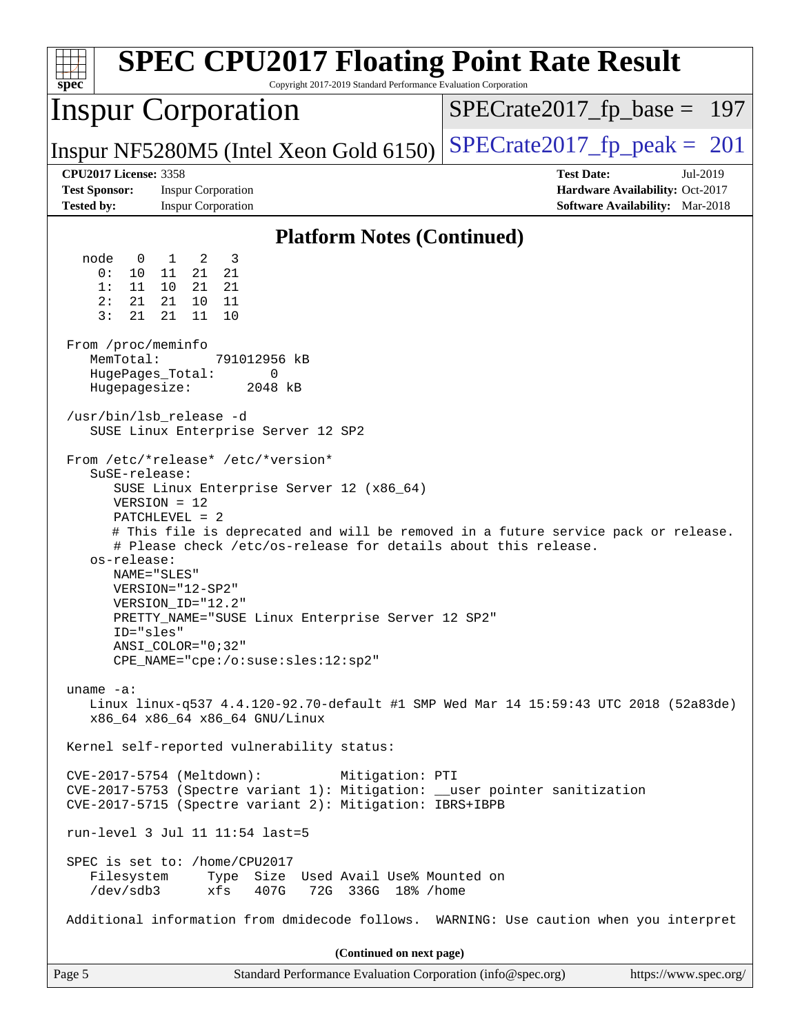| <b>SPEC CPU2017 Floating Point Rate Result</b><br>Copyright 2017-2019 Standard Performance Evaluation Corporation<br>$s\overline{pec}$                                                                                                                                                                                                                                                                                                                                                                                                                                                                                                                                                                                                                                                                                                                 |                                                                                                     |
|--------------------------------------------------------------------------------------------------------------------------------------------------------------------------------------------------------------------------------------------------------------------------------------------------------------------------------------------------------------------------------------------------------------------------------------------------------------------------------------------------------------------------------------------------------------------------------------------------------------------------------------------------------------------------------------------------------------------------------------------------------------------------------------------------------------------------------------------------------|-----------------------------------------------------------------------------------------------------|
| <b>Inspur Corporation</b>                                                                                                                                                                                                                                                                                                                                                                                                                                                                                                                                                                                                                                                                                                                                                                                                                              | $SPECrate2017_fp\_base = 197$                                                                       |
| Inspur NF5280M5 (Intel Xeon Gold 6150)                                                                                                                                                                                                                                                                                                                                                                                                                                                                                                                                                                                                                                                                                                                                                                                                                 | $SPECTate2017$ _fp_peak = 201                                                                       |
| <b>CPU2017 License: 3358</b><br><b>Test Sponsor:</b><br><b>Inspur Corporation</b><br><b>Tested by:</b><br><b>Inspur Corporation</b>                                                                                                                                                                                                                                                                                                                                                                                                                                                                                                                                                                                                                                                                                                                    | <b>Test Date:</b><br>Jul-2019<br>Hardware Availability: Oct-2017<br>Software Availability: Mar-2018 |
| <b>Platform Notes (Continued)</b>                                                                                                                                                                                                                                                                                                                                                                                                                                                                                                                                                                                                                                                                                                                                                                                                                      |                                                                                                     |
| node<br>$\mathbf{1}$<br>$\overline{\phantom{a}}^2$<br>-3<br>$\overline{0}$<br>0:<br>10<br>21<br>21<br>11<br>21<br>1:<br>11<br>10<br>21<br>21<br>11<br>2:<br>21<br>10<br>3:<br>21<br>21<br>11<br>10<br>From /proc/meminfo<br>MemTotal:<br>791012956 kB<br>HugePages_Total:<br>0<br>2048 kB<br>Hugepagesize:<br>/usr/bin/lsb_release -d<br>SUSE Linux Enterprise Server 12 SP2<br>From /etc/*release* /etc/*version*<br>SuSE-release:<br>SUSE Linux Enterprise Server 12 (x86_64)<br>$VERSION = 12$<br>$PATCHLEVEL = 2$<br># This file is deprecated and will be removed in a future service pack or release.<br># Please check /etc/os-release for details about this release.<br>os-release:<br>NAME="SLES"<br>$VERSION = "12-SP2"$<br>VERSION ID="12.2"<br>PRETTY_NAME="SUSE Linux Enterprise Server 12 SP2"<br>ID="sles"<br>$ANSI$ _COLOR=" $0:32$ " |                                                                                                     |
| CPE_NAME="cpe:/o:suse:sles:12:sp2"<br>uname $-a$ :<br>Linux linux-q537 4.4.120-92.70-default #1 SMP Wed Mar 14 15:59:43 UTC 2018 (52a83de)<br>x86_64 x86_64 x86_64 GNU/Linux                                                                                                                                                                                                                                                                                                                                                                                                                                                                                                                                                                                                                                                                           |                                                                                                     |
| Kernel self-reported vulnerability status:                                                                                                                                                                                                                                                                                                                                                                                                                                                                                                                                                                                                                                                                                                                                                                                                             |                                                                                                     |
| CVE-2017-5754 (Meltdown):<br>Mitigation: PTI<br>CVE-2017-5753 (Spectre variant 1): Mitigation: __user pointer sanitization<br>CVE-2017-5715 (Spectre variant 2): Mitigation: IBRS+IBPB                                                                                                                                                                                                                                                                                                                                                                                                                                                                                                                                                                                                                                                                 |                                                                                                     |
| run-level 3 Jul 11 11:54 last=5                                                                                                                                                                                                                                                                                                                                                                                                                                                                                                                                                                                                                                                                                                                                                                                                                        |                                                                                                     |
| SPEC is set to: /home/CPU2017<br>Type Size Used Avail Use% Mounted on<br>Filesystem<br>/dev/sdb3<br>xfs<br>407G<br>72G 336G 18% / home                                                                                                                                                                                                                                                                                                                                                                                                                                                                                                                                                                                                                                                                                                                 |                                                                                                     |
| Additional information from dmidecode follows. WARNING: Use caution when you interpret                                                                                                                                                                                                                                                                                                                                                                                                                                                                                                                                                                                                                                                                                                                                                                 |                                                                                                     |
| (Continued on next page)                                                                                                                                                                                                                                                                                                                                                                                                                                                                                                                                                                                                                                                                                                                                                                                                                               |                                                                                                     |
| Standard Performance Evaluation Corporation (info@spec.org)<br>Page 5                                                                                                                                                                                                                                                                                                                                                                                                                                                                                                                                                                                                                                                                                                                                                                                  | https://www.spec.org/                                                                               |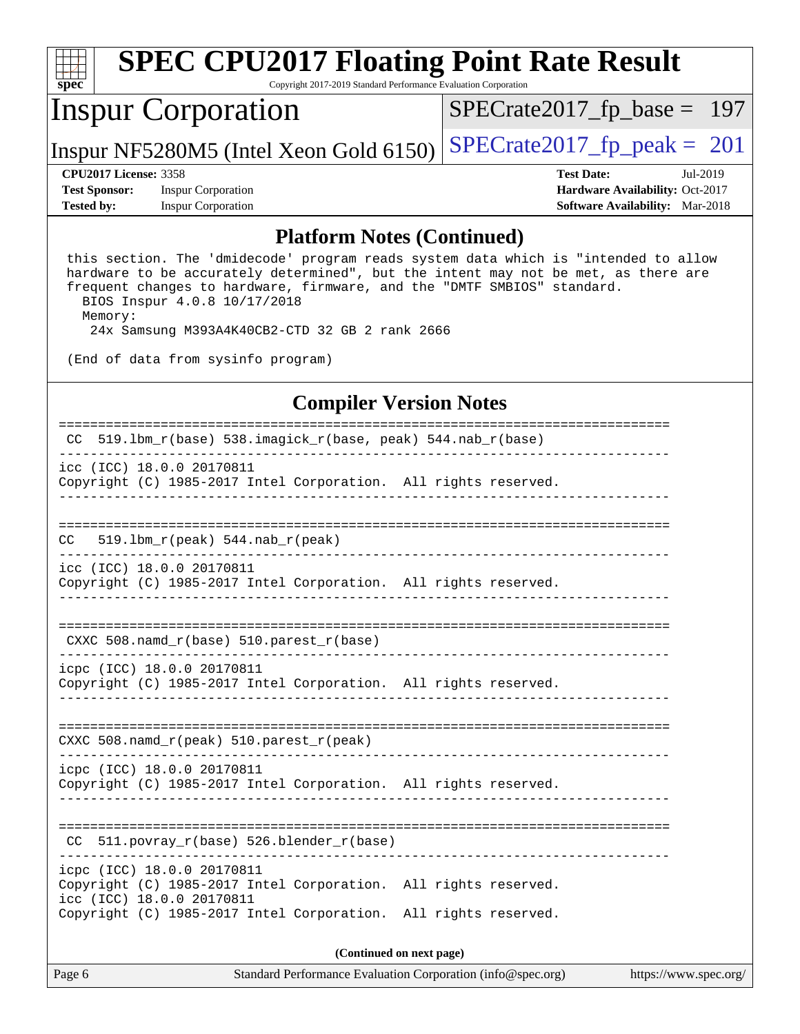| $spec^*$                     | <b>SPEC CPU2017 Floating Point Rate Result</b><br>Copyright 2017-2019 Standard Performance Evaluation Corporation |                                        |
|------------------------------|-------------------------------------------------------------------------------------------------------------------|----------------------------------------|
|                              | <b>Inspur Corporation</b>                                                                                         | $SPECrate2017_fp\_base = 197$          |
|                              | Inspur NF5280M5 (Intel Xeon Gold 6150)                                                                            | $SPECrate2017_fp\_peak = 201$          |
| <b>CPU2017 License: 3358</b> |                                                                                                                   | Jul-2019<br><b>Test Date:</b>          |
| <b>Test Sponsor:</b>         | <b>Inspur Corporation</b>                                                                                         | Hardware Availability: Oct-2017        |
| <b>Tested by:</b>            | <b>Inspur Corporation</b>                                                                                         | <b>Software Availability:</b> Mar-2018 |
|                              |                                                                                                                   |                                        |

#### **[Platform Notes \(Continued\)](http://www.spec.org/auto/cpu2017/Docs/result-fields.html#PlatformNotes)**

 this section. The 'dmidecode' program reads system data which is "intended to allow hardware to be accurately determined", but the intent may not be met, as there are frequent changes to hardware, firmware, and the "DMTF SMBIOS" standard. BIOS Inspur 4.0.8 10/17/2018 Memory:

24x Samsung M393A4K40CB2-CTD 32 GB 2 rank 2666

(End of data from sysinfo program)

## **[Compiler Version Notes](http://www.spec.org/auto/cpu2017/Docs/result-fields.html#CompilerVersionNotes)**

| $519.1$ bm_r(base) 538.imagick_r(base, peak) 544.nab_r(base)<br>CC                                                                                                                            |  |  |  |  |
|-----------------------------------------------------------------------------------------------------------------------------------------------------------------------------------------------|--|--|--|--|
| icc (ICC) 18.0.0 20170811<br>Copyright (C) 1985-2017 Intel Corporation. All rights reserved.                                                                                                  |  |  |  |  |
| 519.1bm $r(\text{peak})$ 544.nab $r(\text{peak})$<br>CC.                                                                                                                                      |  |  |  |  |
| icc (ICC) 18.0.0 20170811<br>Copyright (C) 1985-2017 Intel Corporation. All rights reserved.                                                                                                  |  |  |  |  |
| CXXC 508.namd_r(base) 510.parest_r(base)                                                                                                                                                      |  |  |  |  |
| icpc (ICC) 18.0.0 20170811<br>Copyright (C) 1985-2017 Intel Corporation. All rights reserved.                                                                                                 |  |  |  |  |
| CXXC 508. namd $r(\text{peak})$ 510. parest $r(\text{peak})$                                                                                                                                  |  |  |  |  |
| icpc (ICC) 18.0.0 20170811<br>Copyright (C) 1985-2017 Intel Corporation. All rights reserved.                                                                                                 |  |  |  |  |
| 511.povray_r(base) 526.blender_r(base)<br>CC.                                                                                                                                                 |  |  |  |  |
| icpc (ICC) 18.0.0 20170811<br>Copyright (C) 1985-2017 Intel Corporation. All rights reserved.<br>icc (ICC) 18.0.0 20170811<br>Copyright (C) 1985-2017 Intel Corporation. All rights reserved. |  |  |  |  |
| (Continued on next page)                                                                                                                                                                      |  |  |  |  |

Page 6 Standard Performance Evaluation Corporation [\(info@spec.org\)](mailto:info@spec.org) <https://www.spec.org/>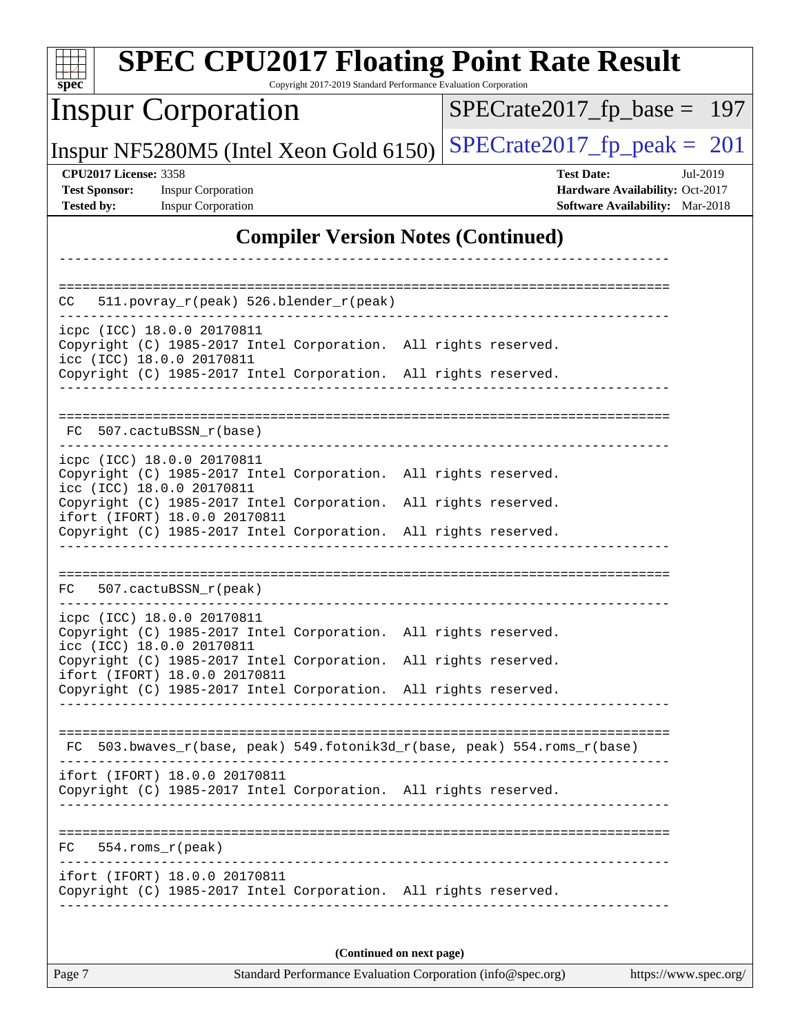| spec <sup>®</sup>                                                                       |                                                                                                  | Copyright 2017-2019 Standard Performance Evaluation Corporation | <b>SPEC CPU2017 Floating Point Rate Result</b>                           |                                             |  |
|-----------------------------------------------------------------------------------------|--------------------------------------------------------------------------------------------------|-----------------------------------------------------------------|--------------------------------------------------------------------------|---------------------------------------------|--|
|                                                                                         | <b>Inspur Corporation</b>                                                                        |                                                                 | $SPECrate2017_fp\_base = 197$                                            |                                             |  |
|                                                                                         | Inspur NF5280M5 (Intel Xeon Gold 6150)                                                           |                                                                 | $SPECrate2017_fp\_peak = 201$                                            |                                             |  |
| <b>CPU2017 License: 3358</b><br><b>Test Sponsor:</b>                                    | <b>Inspur Corporation</b>                                                                        |                                                                 | <b>Test Date:</b>                                                        | Jul-2019<br>Hardware Availability: Oct-2017 |  |
| Tested by:                                                                              | <b>Inspur Corporation</b>                                                                        |                                                                 |                                                                          | Software Availability: Mar-2018             |  |
| <b>Compiler Version Notes (Continued)</b>                                               |                                                                                                  |                                                                 |                                                                          |                                             |  |
|                                                                                         |                                                                                                  |                                                                 |                                                                          |                                             |  |
| CC.                                                                                     | 511.povray_r(peak) 526.blender_r(peak)                                                           |                                                                 |                                                                          |                                             |  |
|                                                                                         | icpc (ICC) 18.0.0 20170811                                                                       |                                                                 |                                                                          |                                             |  |
|                                                                                         | Copyright (C) 1985-2017 Intel Corporation. All rights reserved.<br>icc (ICC) 18.0.0 20170811     |                                                                 |                                                                          |                                             |  |
|                                                                                         | Copyright (C) 1985-2017 Intel Corporation. All rights reserved.                                  |                                                                 |                                                                          |                                             |  |
|                                                                                         |                                                                                                  |                                                                 |                                                                          |                                             |  |
| FC.                                                                                     | 507.cactuBSSN r(base)                                                                            |                                                                 |                                                                          |                                             |  |
|                                                                                         | icpc (ICC) 18.0.0 20170811                                                                       |                                                                 |                                                                          |                                             |  |
|                                                                                         | Copyright (C) 1985-2017 Intel Corporation. All rights reserved.<br>icc (ICC) 18.0.0 20170811     |                                                                 |                                                                          |                                             |  |
|                                                                                         | Copyright (C) 1985-2017 Intel Corporation.<br>ifort (IFORT) 18.0.0 20170811                      |                                                                 | All rights reserved.                                                     |                                             |  |
|                                                                                         | Copyright (C) 1985-2017 Intel Corporation. All rights reserved.                                  |                                                                 |                                                                          |                                             |  |
|                                                                                         |                                                                                                  |                                                                 | ------------------------------                                           |                                             |  |
| FC.                                                                                     | 507.cactuBSSN r(peak)                                                                            |                                                                 |                                                                          |                                             |  |
|                                                                                         | icpc (ICC) 18.0.0 20170811                                                                       |                                                                 |                                                                          |                                             |  |
|                                                                                         | Copyright (C) 1985-2017 Intel Corporation. All rights reserved.<br>icc (ICC) 18.0.0 20170811     |                                                                 |                                                                          |                                             |  |
|                                                                                         | Copyright (C) 1985-2017 Intel Corporation. All rights reserved.<br>ifort (IFORT) 18.0.0 20170811 |                                                                 |                                                                          |                                             |  |
|                                                                                         | Copyright (C) 1985-2017 Intel Corporation. All rights reserved.                                  |                                                                 |                                                                          |                                             |  |
|                                                                                         |                                                                                                  |                                                                 |                                                                          |                                             |  |
|                                                                                         |                                                                                                  |                                                                 | FC 503.bwaves_r(base, peak) 549.fotonik3d_r(base, peak) 554.roms_r(base) |                                             |  |
|                                                                                         | ifort (IFORT) 18.0.0 20170811                                                                    |                                                                 |                                                                          |                                             |  |
|                                                                                         | Copyright (C) 1985-2017 Intel Corporation. All rights reserved.                                  |                                                                 |                                                                          |                                             |  |
|                                                                                         |                                                                                                  |                                                                 |                                                                          |                                             |  |
| $FC 554.rows_r (peak)$<br>------------------                                            |                                                                                                  |                                                                 |                                                                          |                                             |  |
|                                                                                         | ifort (IFORT) 18.0.0 20170811<br>Copyright (C) 1985-2017 Intel Corporation. All rights reserved. |                                                                 |                                                                          |                                             |  |
|                                                                                         |                                                                                                  |                                                                 |                                                                          |                                             |  |
|                                                                                         |                                                                                                  |                                                                 |                                                                          |                                             |  |
| (Continued on next page)<br>Standard Performance Evaluation Corporation (info@spec.org) |                                                                                                  |                                                                 |                                                                          |                                             |  |
| Page 7                                                                                  |                                                                                                  |                                                                 |                                                                          | https://www.spec.org/                       |  |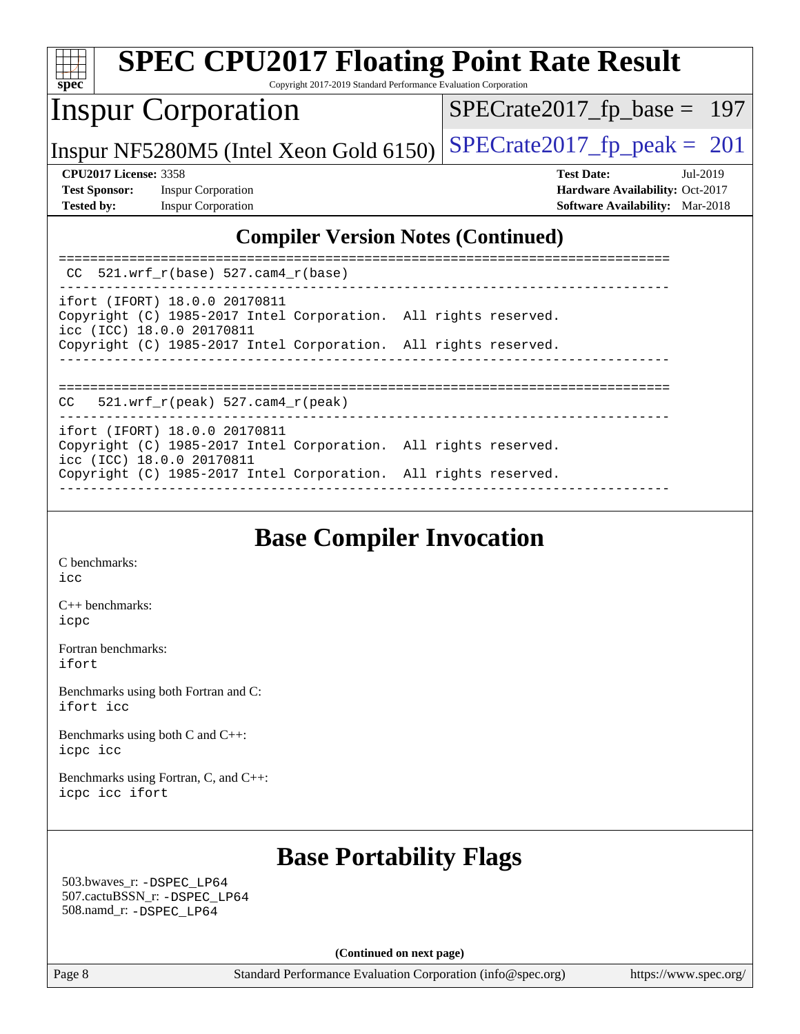| <b>SPEC CPU2017 Floating Point Rate Result</b><br>spec<br>Copyright 2017-2019 Standard Performance Evaluation Corporation           |                                                                                                            |  |  |  |  |
|-------------------------------------------------------------------------------------------------------------------------------------|------------------------------------------------------------------------------------------------------------|--|--|--|--|
| <b>Inspur Corporation</b>                                                                                                           | $SPECrate2017_fp\_base = 197$                                                                              |  |  |  |  |
| Inspur NF5280M5 (Intel Xeon Gold 6150)                                                                                              | $SPECrate2017_fp\_peak = 201$                                                                              |  |  |  |  |
| <b>CPU2017 License: 3358</b><br><b>Test Sponsor:</b><br><b>Inspur Corporation</b><br><b>Tested by:</b><br><b>Inspur Corporation</b> | <b>Test Date:</b><br>Jul-2019<br>Hardware Availability: Oct-2017<br><b>Software Availability:</b> Mar-2018 |  |  |  |  |
| <b>Compiler Version Notes (Continued)</b>                                                                                           |                                                                                                            |  |  |  |  |
| 521.wrf_r(base) 527.cam4_r(base)<br>CC.                                                                                             |                                                                                                            |  |  |  |  |
| ifort (IFORT) 18.0.0 20170811<br>Copyright (C) 1985-2017 Intel Corporation. All rights reserved.<br>icc (ICC) 18.0.0 20170811       |                                                                                                            |  |  |  |  |
| Copyright (C) 1985-2017 Intel Corporation. All rights reserved.                                                                     |                                                                                                            |  |  |  |  |
| $521.wrf_r(peak) 527.cam4_r(peak)$<br>CC.                                                                                           |                                                                                                            |  |  |  |  |
| ifort (IFORT) 18.0.0 20170811<br>Copyright (C) 1985-2017 Intel Corporation. All rights reserved.<br>icc (ICC) 18.0.0 20170811       |                                                                                                            |  |  |  |  |
| Copyright (C) 1985-2017 Intel Corporation. All rights reserved.                                                                     |                                                                                                            |  |  |  |  |

# **[Base Compiler Invocation](http://www.spec.org/auto/cpu2017/Docs/result-fields.html#BaseCompilerInvocation)**

[C benchmarks](http://www.spec.org/auto/cpu2017/Docs/result-fields.html#Cbenchmarks): [icc](http://www.spec.org/cpu2017/results/res2019q3/cpu2017-20190725-16428.flags.html#user_CCbase_intel_icc_18.0_66fc1ee009f7361af1fbd72ca7dcefbb700085f36577c54f309893dd4ec40d12360134090235512931783d35fd58c0460139e722d5067c5574d8eaf2b3e37e92)

[C++ benchmarks:](http://www.spec.org/auto/cpu2017/Docs/result-fields.html#CXXbenchmarks) [icpc](http://www.spec.org/cpu2017/results/res2019q3/cpu2017-20190725-16428.flags.html#user_CXXbase_intel_icpc_18.0_c510b6838c7f56d33e37e94d029a35b4a7bccf4766a728ee175e80a419847e808290a9b78be685c44ab727ea267ec2f070ec5dc83b407c0218cded6866a35d07)

[Fortran benchmarks](http://www.spec.org/auto/cpu2017/Docs/result-fields.html#Fortranbenchmarks): [ifort](http://www.spec.org/cpu2017/results/res2019q3/cpu2017-20190725-16428.flags.html#user_FCbase_intel_ifort_18.0_8111460550e3ca792625aed983ce982f94888b8b503583aa7ba2b8303487b4d8a21a13e7191a45c5fd58ff318f48f9492884d4413fa793fd88dd292cad7027ca)

[Benchmarks using both Fortran and C](http://www.spec.org/auto/cpu2017/Docs/result-fields.html#BenchmarksusingbothFortranandC): [ifort](http://www.spec.org/cpu2017/results/res2019q3/cpu2017-20190725-16428.flags.html#user_CC_FCbase_intel_ifort_18.0_8111460550e3ca792625aed983ce982f94888b8b503583aa7ba2b8303487b4d8a21a13e7191a45c5fd58ff318f48f9492884d4413fa793fd88dd292cad7027ca) [icc](http://www.spec.org/cpu2017/results/res2019q3/cpu2017-20190725-16428.flags.html#user_CC_FCbase_intel_icc_18.0_66fc1ee009f7361af1fbd72ca7dcefbb700085f36577c54f309893dd4ec40d12360134090235512931783d35fd58c0460139e722d5067c5574d8eaf2b3e37e92)

[Benchmarks using both C and C++](http://www.spec.org/auto/cpu2017/Docs/result-fields.html#BenchmarksusingbothCandCXX): [icpc](http://www.spec.org/cpu2017/results/res2019q3/cpu2017-20190725-16428.flags.html#user_CC_CXXbase_intel_icpc_18.0_c510b6838c7f56d33e37e94d029a35b4a7bccf4766a728ee175e80a419847e808290a9b78be685c44ab727ea267ec2f070ec5dc83b407c0218cded6866a35d07) [icc](http://www.spec.org/cpu2017/results/res2019q3/cpu2017-20190725-16428.flags.html#user_CC_CXXbase_intel_icc_18.0_66fc1ee009f7361af1fbd72ca7dcefbb700085f36577c54f309893dd4ec40d12360134090235512931783d35fd58c0460139e722d5067c5574d8eaf2b3e37e92)

[Benchmarks using Fortran, C, and C++:](http://www.spec.org/auto/cpu2017/Docs/result-fields.html#BenchmarksusingFortranCandCXX) [icpc](http://www.spec.org/cpu2017/results/res2019q3/cpu2017-20190725-16428.flags.html#user_CC_CXX_FCbase_intel_icpc_18.0_c510b6838c7f56d33e37e94d029a35b4a7bccf4766a728ee175e80a419847e808290a9b78be685c44ab727ea267ec2f070ec5dc83b407c0218cded6866a35d07) [icc](http://www.spec.org/cpu2017/results/res2019q3/cpu2017-20190725-16428.flags.html#user_CC_CXX_FCbase_intel_icc_18.0_66fc1ee009f7361af1fbd72ca7dcefbb700085f36577c54f309893dd4ec40d12360134090235512931783d35fd58c0460139e722d5067c5574d8eaf2b3e37e92) [ifort](http://www.spec.org/cpu2017/results/res2019q3/cpu2017-20190725-16428.flags.html#user_CC_CXX_FCbase_intel_ifort_18.0_8111460550e3ca792625aed983ce982f94888b8b503583aa7ba2b8303487b4d8a21a13e7191a45c5fd58ff318f48f9492884d4413fa793fd88dd292cad7027ca)

## **[Base Portability Flags](http://www.spec.org/auto/cpu2017/Docs/result-fields.html#BasePortabilityFlags)**

 503.bwaves\_r: [-DSPEC\\_LP64](http://www.spec.org/cpu2017/results/res2019q3/cpu2017-20190725-16428.flags.html#suite_basePORTABILITY503_bwaves_r_DSPEC_LP64) 507.cactuBSSN\_r: [-DSPEC\\_LP64](http://www.spec.org/cpu2017/results/res2019q3/cpu2017-20190725-16428.flags.html#suite_basePORTABILITY507_cactuBSSN_r_DSPEC_LP64) 508.namd\_r: [-DSPEC\\_LP64](http://www.spec.org/cpu2017/results/res2019q3/cpu2017-20190725-16428.flags.html#suite_basePORTABILITY508_namd_r_DSPEC_LP64)

**(Continued on next page)**

Page 8 Standard Performance Evaluation Corporation [\(info@spec.org\)](mailto:info@spec.org) <https://www.spec.org/>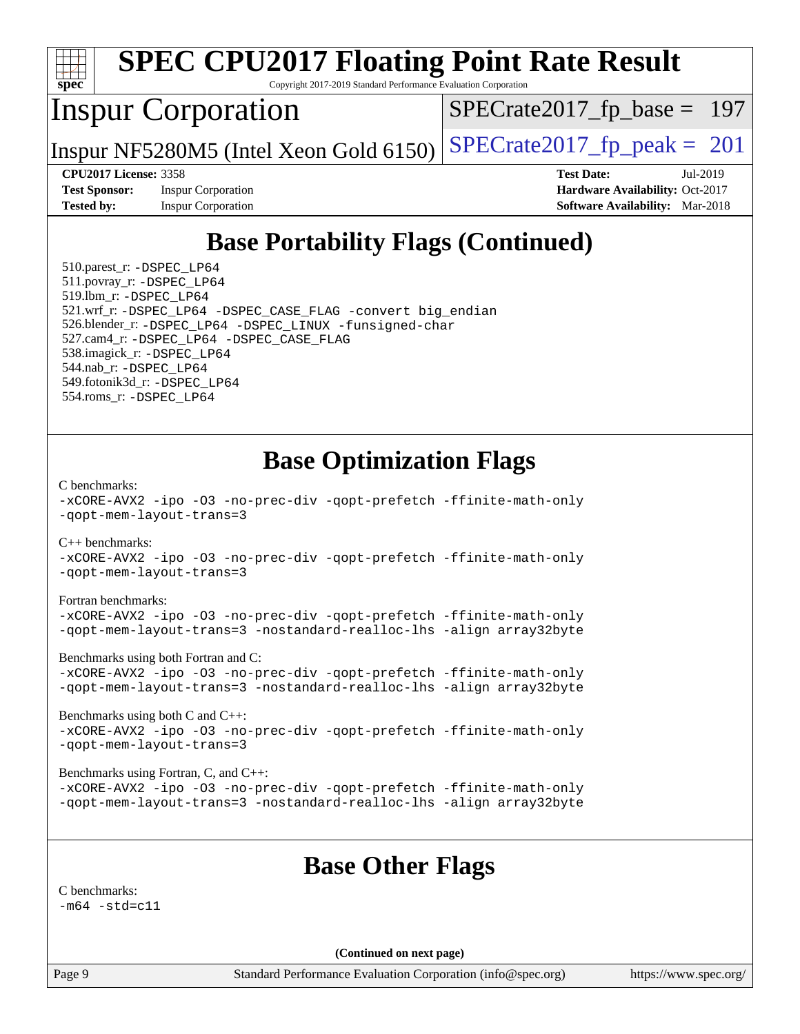

Page 9 Standard Performance Evaluation Corporation [\(info@spec.org\)](mailto:info@spec.org) <https://www.spec.org/>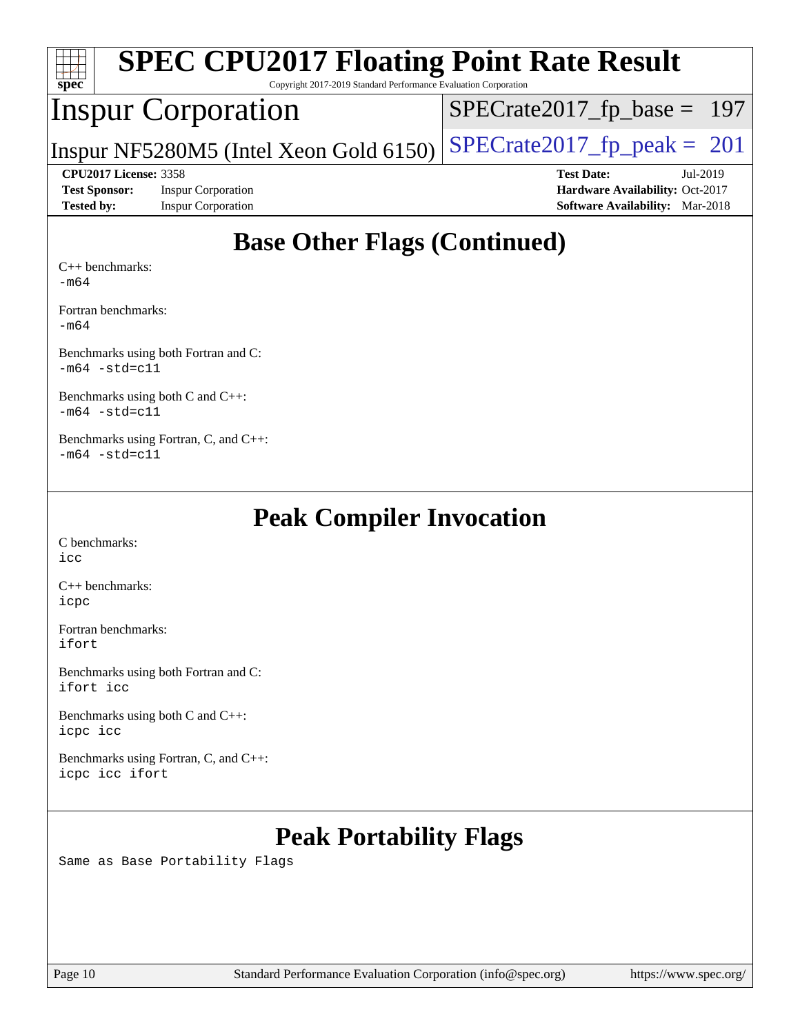| $Spec^*$                       | <b>SPEC CPU2017 Floating Point Rate Result</b><br>Copyright 2017-2019 Standard Performance Evaluation Corporation |                                        |            |
|--------------------------------|-------------------------------------------------------------------------------------------------------------------|----------------------------------------|------------|
| <b>Inspur Corporation</b>      |                                                                                                                   | $SPECrate2017_fp\_base = 197$          |            |
|                                | Inspur NF5280M5 (Intel Xeon Gold 6150)                                                                            | $SPECrate2017_fp\_peak = 201$          |            |
| <b>CPU2017 License: 3358</b>   |                                                                                                                   | <b>Test Date:</b>                      | $Jul-2019$ |
| <b>Test Sponsor:</b>           | <b>Inspur Corporation</b>                                                                                         | Hardware Availability: Oct-2017        |            |
| <b>Tested by:</b>              | <b>Inspur Corporation</b>                                                                                         | <b>Software Availability:</b> Mar-2018 |            |
| $C_{++}$ benchmarks:<br>$-m64$ | <b>Base Other Flags (Continued)</b>                                                                               |                                        |            |

[Fortran benchmarks](http://www.spec.org/auto/cpu2017/Docs/result-fields.html#Fortranbenchmarks):

[-m64](http://www.spec.org/cpu2017/results/res2019q3/cpu2017-20190725-16428.flags.html#user_FCbase_intel_intel64_18.0_af43caccfc8ded86e7699f2159af6efc7655f51387b94da716254467f3c01020a5059329e2569e4053f409e7c9202a7efc638f7a6d1ffb3f52dea4a3e31d82ab)

[Benchmarks using both Fortran and C](http://www.spec.org/auto/cpu2017/Docs/result-fields.html#BenchmarksusingbothFortranandC): [-m64](http://www.spec.org/cpu2017/results/res2019q3/cpu2017-20190725-16428.flags.html#user_CC_FCbase_intel_intel64_18.0_af43caccfc8ded86e7699f2159af6efc7655f51387b94da716254467f3c01020a5059329e2569e4053f409e7c9202a7efc638f7a6d1ffb3f52dea4a3e31d82ab) [-std=c11](http://www.spec.org/cpu2017/results/res2019q3/cpu2017-20190725-16428.flags.html#user_CC_FCbase_intel_compiler_c11_mode_0e1c27790398a4642dfca32ffe6c27b5796f9c2d2676156f2e42c9c44eaad0c049b1cdb667a270c34d979996257aeb8fc440bfb01818dbc9357bd9d174cb8524)

[Benchmarks using both C and C++](http://www.spec.org/auto/cpu2017/Docs/result-fields.html#BenchmarksusingbothCandCXX): [-m64](http://www.spec.org/cpu2017/results/res2019q3/cpu2017-20190725-16428.flags.html#user_CC_CXXbase_intel_intel64_18.0_af43caccfc8ded86e7699f2159af6efc7655f51387b94da716254467f3c01020a5059329e2569e4053f409e7c9202a7efc638f7a6d1ffb3f52dea4a3e31d82ab) [-std=c11](http://www.spec.org/cpu2017/results/res2019q3/cpu2017-20190725-16428.flags.html#user_CC_CXXbase_intel_compiler_c11_mode_0e1c27790398a4642dfca32ffe6c27b5796f9c2d2676156f2e42c9c44eaad0c049b1cdb667a270c34d979996257aeb8fc440bfb01818dbc9357bd9d174cb8524)

[Benchmarks using Fortran, C, and C++:](http://www.spec.org/auto/cpu2017/Docs/result-fields.html#BenchmarksusingFortranCandCXX)  $-m64$   $-std=cl1$ 

# **[Peak Compiler Invocation](http://www.spec.org/auto/cpu2017/Docs/result-fields.html#PeakCompilerInvocation)**

[C benchmarks](http://www.spec.org/auto/cpu2017/Docs/result-fields.html#Cbenchmarks): [icc](http://www.spec.org/cpu2017/results/res2019q3/cpu2017-20190725-16428.flags.html#user_CCpeak_intel_icc_18.0_66fc1ee009f7361af1fbd72ca7dcefbb700085f36577c54f309893dd4ec40d12360134090235512931783d35fd58c0460139e722d5067c5574d8eaf2b3e37e92)

[C++ benchmarks:](http://www.spec.org/auto/cpu2017/Docs/result-fields.html#CXXbenchmarks) [icpc](http://www.spec.org/cpu2017/results/res2019q3/cpu2017-20190725-16428.flags.html#user_CXXpeak_intel_icpc_18.0_c510b6838c7f56d33e37e94d029a35b4a7bccf4766a728ee175e80a419847e808290a9b78be685c44ab727ea267ec2f070ec5dc83b407c0218cded6866a35d07)

[Fortran benchmarks](http://www.spec.org/auto/cpu2017/Docs/result-fields.html#Fortranbenchmarks): [ifort](http://www.spec.org/cpu2017/results/res2019q3/cpu2017-20190725-16428.flags.html#user_FCpeak_intel_ifort_18.0_8111460550e3ca792625aed983ce982f94888b8b503583aa7ba2b8303487b4d8a21a13e7191a45c5fd58ff318f48f9492884d4413fa793fd88dd292cad7027ca)

[Benchmarks using both Fortran and C](http://www.spec.org/auto/cpu2017/Docs/result-fields.html#BenchmarksusingbothFortranandC): [ifort](http://www.spec.org/cpu2017/results/res2019q3/cpu2017-20190725-16428.flags.html#user_CC_FCpeak_intel_ifort_18.0_8111460550e3ca792625aed983ce982f94888b8b503583aa7ba2b8303487b4d8a21a13e7191a45c5fd58ff318f48f9492884d4413fa793fd88dd292cad7027ca) [icc](http://www.spec.org/cpu2017/results/res2019q3/cpu2017-20190725-16428.flags.html#user_CC_FCpeak_intel_icc_18.0_66fc1ee009f7361af1fbd72ca7dcefbb700085f36577c54f309893dd4ec40d12360134090235512931783d35fd58c0460139e722d5067c5574d8eaf2b3e37e92)

[Benchmarks using both C and C++](http://www.spec.org/auto/cpu2017/Docs/result-fields.html#BenchmarksusingbothCandCXX): [icpc](http://www.spec.org/cpu2017/results/res2019q3/cpu2017-20190725-16428.flags.html#user_CC_CXXpeak_intel_icpc_18.0_c510b6838c7f56d33e37e94d029a35b4a7bccf4766a728ee175e80a419847e808290a9b78be685c44ab727ea267ec2f070ec5dc83b407c0218cded6866a35d07) [icc](http://www.spec.org/cpu2017/results/res2019q3/cpu2017-20190725-16428.flags.html#user_CC_CXXpeak_intel_icc_18.0_66fc1ee009f7361af1fbd72ca7dcefbb700085f36577c54f309893dd4ec40d12360134090235512931783d35fd58c0460139e722d5067c5574d8eaf2b3e37e92)

[Benchmarks using Fortran, C, and C++:](http://www.spec.org/auto/cpu2017/Docs/result-fields.html#BenchmarksusingFortranCandCXX) [icpc](http://www.spec.org/cpu2017/results/res2019q3/cpu2017-20190725-16428.flags.html#user_CC_CXX_FCpeak_intel_icpc_18.0_c510b6838c7f56d33e37e94d029a35b4a7bccf4766a728ee175e80a419847e808290a9b78be685c44ab727ea267ec2f070ec5dc83b407c0218cded6866a35d07) [icc](http://www.spec.org/cpu2017/results/res2019q3/cpu2017-20190725-16428.flags.html#user_CC_CXX_FCpeak_intel_icc_18.0_66fc1ee009f7361af1fbd72ca7dcefbb700085f36577c54f309893dd4ec40d12360134090235512931783d35fd58c0460139e722d5067c5574d8eaf2b3e37e92) [ifort](http://www.spec.org/cpu2017/results/res2019q3/cpu2017-20190725-16428.flags.html#user_CC_CXX_FCpeak_intel_ifort_18.0_8111460550e3ca792625aed983ce982f94888b8b503583aa7ba2b8303487b4d8a21a13e7191a45c5fd58ff318f48f9492884d4413fa793fd88dd292cad7027ca)

# **[Peak Portability Flags](http://www.spec.org/auto/cpu2017/Docs/result-fields.html#PeakPortabilityFlags)**

Same as Base Portability Flags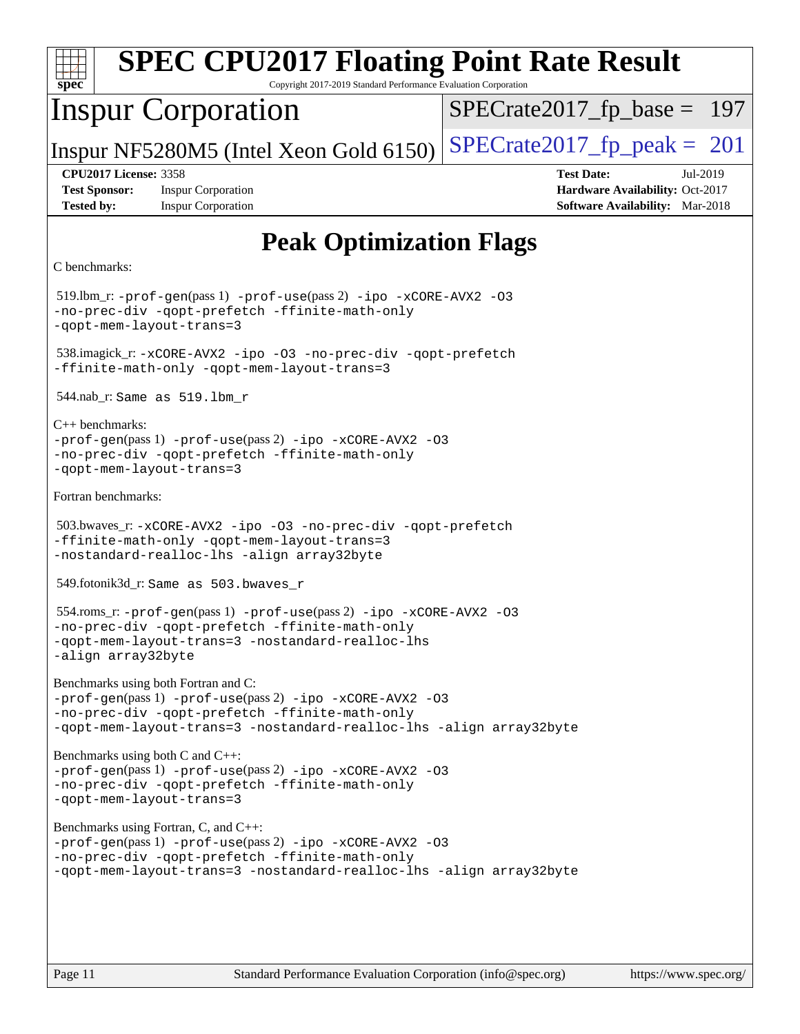| <b>SPEC CPU2017 Floating Point Rate Result</b><br>Copyright 2017-2019 Standard Performance Evaluation Corporation<br>$spec^*$                                                                                              |                                                                                                            |
|----------------------------------------------------------------------------------------------------------------------------------------------------------------------------------------------------------------------------|------------------------------------------------------------------------------------------------------------|
| <b>Inspur Corporation</b>                                                                                                                                                                                                  | $SPECrate2017_fp\_base = 197$                                                                              |
| Inspur NF5280M5 (Intel Xeon Gold 6150)                                                                                                                                                                                     | $SPECTate2017$ _fp_peak = 201                                                                              |
| <b>CPU2017 License: 3358</b><br><b>Inspur Corporation</b><br><b>Test Sponsor:</b><br><b>Tested by:</b><br><b>Inspur Corporation</b>                                                                                        | <b>Test Date:</b><br>Jul-2019<br>Hardware Availability: Oct-2017<br><b>Software Availability:</b> Mar-2018 |
| <b>Peak Optimization Flags</b>                                                                                                                                                                                             |                                                                                                            |
| C benchmarks:                                                                                                                                                                                                              |                                                                                                            |
| 519.1bm_r: -prof-gen(pass 1) -prof-use(pass 2) -ipo -xCORE-AVX2 -03<br>-no-prec-div -qopt-prefetch -ffinite-math-only<br>-qopt-mem-layout-trans=3                                                                          |                                                                                                            |
| 538.imagick_r: -xCORE-AVX2 -ipo -03 -no-prec-div -qopt-prefetch<br>-ffinite-math-only -qopt-mem-layout-trans=3                                                                                                             |                                                                                                            |
| $544.nab_r$ : Same as $519.lbm_r$                                                                                                                                                                                          |                                                                                                            |
| $C++$ benchmarks:<br>-prof-gen(pass 1) -prof-use(pass 2) -ipo -xCORE-AVX2 -03<br>-no-prec-div -qopt-prefetch -ffinite-math-only<br>-qopt-mem-layout-trans=3                                                                |                                                                                                            |
| Fortran benchmarks:                                                                                                                                                                                                        |                                                                                                            |
| 503.bwaves_r: -xCORE-AVX2 -ipo -03 -no-prec-div -qopt-prefetch<br>-ffinite-math-only -qopt-mem-layout-trans=3<br>-nostandard-realloc-lhs -align array32byte                                                                |                                                                                                            |
| 549.fotonik3d_r: Same as 503.bwaves r                                                                                                                                                                                      |                                                                                                            |
| 554.roms_r:-prof-gen(pass 1) -prof-use(pass 2) -ipo -xCORE-AVX2 -03<br>-no-prec-div -qopt-prefetch -ffinite-math-only<br>-qopt-mem-layout-trans=3 -nostandard-realloc-lhs<br>-align array32byte                            |                                                                                                            |
| Benchmarks using both Fortran and C:<br>-prof-gen(pass 1) -prof-use(pass 2) -ipo -xCORE-AVX2 -03<br>-no-prec-div -qopt-prefetch -ffinite-math-only<br>-qopt-mem-layout-trans=3 -nostandard-realloc-lhs -align array32byte  |                                                                                                            |
| Benchmarks using both C and C++:<br>-prof-gen(pass 1) -prof-use(pass 2) -ipo -xCORE-AVX2 -03<br>-no-prec-div -qopt-prefetch -ffinite-math-only<br>-qopt-mem-layout-trans=3                                                 |                                                                                                            |
| Benchmarks using Fortran, C, and C++:<br>-prof-gen(pass 1) -prof-use(pass 2) -ipo -xCORE-AVX2 -03<br>-no-prec-div -qopt-prefetch -ffinite-math-only<br>-qopt-mem-layout-trans=3 -nostandard-realloc-lhs -align array32byte |                                                                                                            |
| Page 11<br>Standard Performance Evaluation Corporation (info@spec.org)                                                                                                                                                     | https://www.spec.org/                                                                                      |